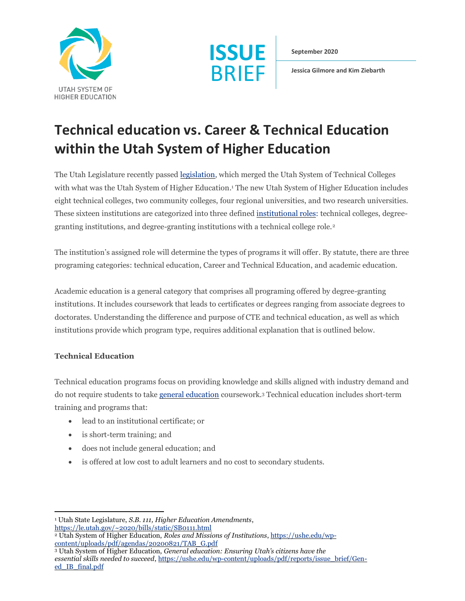



**September 2020**

**Jessica Gilmore and Kim Ziebarth**

## **Technical education vs. Career & Technical Education within the Utah System of Higher Education**

The Utah Legislature recently passed [legislation,](https://le.utah.gov/~2020/bills/static/SB0111.html) which merged the Utah System of Technical Colleges with what was the Utah System of Higher Education. <sup>1</sup> The new Utah System of Higher Education includes eight technical colleges, two community colleges, four regional universities, and two research universities. These sixteen institutions are categorized into three defined [institutional roles:](https://ushe.edu/wp-content/uploads/pdf/agendas/20200821/TAB_G.pdf) technical colleges, degreegranting institutions, and degree-granting institutions with a technical college role.<sup>2</sup>

The institution's assigned role will determine the types of programs it will offer. By statute, there are three programing categories: technical education, Career and Technical Education, and academic education.

Academic education is a general category that comprises all programing offered by degree-granting institutions. It includes coursework that leads to certificates or degrees ranging from associate degrees to doctorates. Understanding the difference and purpose of CTE and technical education, as well as which institutions provide which program type, requires additional explanation that is outlined below.

## **Technical Education**

Technical education programs focus on providing knowledge and skills aligned with industry demand and do not require students to take [general education](https://ushe.edu/wp-content/uploads/pdf/reports/issue_brief/Gen-ed_IB_final.pdf) coursework.<sup>3</sup> Technical education includes short-term training and programs that:

- lead to an institutional certificate; or
- is short-term training; and
- does not include general education; and
- is offered at low cost to adult learners and no cost to secondary students.

<sup>1</sup> Utah State Legislature, *S.B. 111, Higher Education Amendments*,

<https://le.utah.gov/~2020/bills/static/SB0111.html>

<sup>2</sup> Utah System of Higher Education, *Roles and Missions of Institutions*[, https://ushe.edu/wp](https://ushe.edu/wp-content/uploads/pdf/agendas/20200821/TAB_G.pdf)[content/uploads/pdf/agendas/20200821/TAB\\_G.pdf](https://ushe.edu/wp-content/uploads/pdf/agendas/20200821/TAB_G.pdf)

<sup>3</sup> Utah System of Higher Education, *General education: Ensuring Utah's citizens have the essential skills needed to succeed*[, https://ushe.edu/wp-content/uploads/pdf/reports/issue\\_brief/Gen](https://ushe.edu/wp-content/uploads/pdf/reports/issue_brief/Gen-ed_IB_final.pdf)[ed\\_IB\\_final.pdf](https://ushe.edu/wp-content/uploads/pdf/reports/issue_brief/Gen-ed_IB_final.pdf)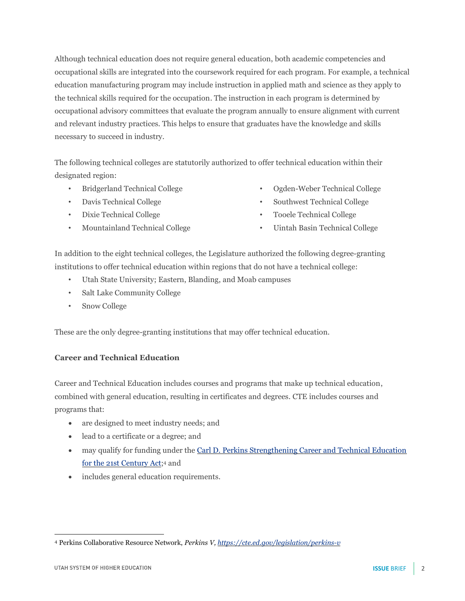Although technical education does not require general education, both academic competencies and occupational skills are integrated into the coursework required for each program. For example, a technical education manufacturing program may include instruction in applied math and science as they apply to the technical skills required for the occupation. The instruction in each program is determined by occupational advisory committees that evaluate the program annually to ensure alignment with current and relevant industry practices. This helps to ensure that graduates have the knowledge and skills necessary to succeed in industry.

The following technical colleges are statutorily authorized to offer technical education within their designated region:

- Bridgerland Technical College
- Davis Technical College
- Dixie Technical College
- Mountainland Technical College
- Ogden-Weber Technical College
- Southwest Technical College
- Tooele Technical College
- Uintah Basin Technical College

In addition to the eight technical colleges, the Legislature authorized the following degree-granting institutions to offer technical education within regions that do not have a technical college:

- Utah State University; Eastern, Blanding, and Moab campuses
- Salt Lake Community College
- Snow College

These are the only degree-granting institutions that may offer technical education.

## **Career and Technical Education**

Career and Technical Education includes courses and programs that make up technical education, combined with general education, resulting in certificates and degrees. CTE includes courses and programs that:

- are designed to meet industry needs; and
- lead to a certificate or a degree; and
- may qualify for funding under the Carl D. Perkins Strengthening Career and Technical Education [for the 21st Century Act;](https://cte.ed.gov/legislation/perkins-v)<sup>4</sup> and
- includes general education requirements.

<sup>4</sup> Perkins Collaborative Resource Network, *Perkins V[, https://cte.ed.gov/legislation/perkins-v](https://cte.ed.gov/legislation/perkins-v)*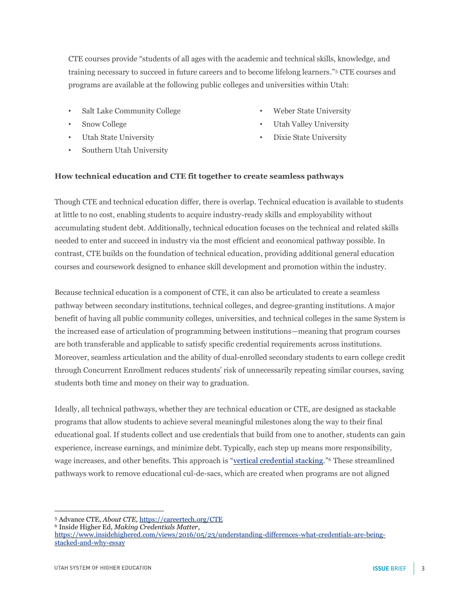CTE courses provide "students of all ages with the academic and technical skills, knowledge, and training necessary to succeed in future careers and to become lifelong learners." <sup>5</sup> CTE courses and programs are available at the following public colleges and universities within Utah:

- Salt Lake Community College
- Snow College
- Utah State University
- Southern Utah University
- Weber State University
- Utah Valley University
- Dixie State University

## **How technical education and CTE fit together to create seamless pathways**

Though CTE and technical education differ, there is overlap. Technical education is available to students at little to no cost, enabling students to acquire industry-ready skills and employability without accumulating student debt. Additionally, technical education focuses on the technical and related skills needed to enter and succeed in industry via the most efficient and economical pathway possible. In contrast, CTE builds on the foundation of technical education, providing additional general education courses and coursework designed to enhance skill development and promotion within the industry.

Because technical education is a component of CTE, it can also be articulated to create a seamless pathway between secondary institutions, technical colleges, and degree-granting institutions. A major benefit of having all public community colleges, universities, and technical colleges in the same System is the increased ease of articulation of programming between institutions—meaning that program courses are both transferable and applicable to satisfy specific credential requirements across institutions. Moreover, seamless articulation and the ability of dual-enrolled secondary students to earn college credit through Concurrent Enrollment reduces students' risk of unnecessarily repeating similar courses, saving students both time and money on their way to graduation.

Ideally, all technical pathways, whether they are technical education or CTE, are designed as stackable programs that allow students to achieve several meaningful milestones along the way to their final educational goal. If students collect and use credentials that build from one to another, students can gain experience, increase earnings, and minimize debt. Typically, each step up means more responsibility, wage increases, and other benefits. This approach is "[vertical credential stacking](https://www.insidehighered.com/views/2016/05/23/understanding-differences-what-credentials-are-being-stacked-and-why-essay)."<sup>6</sup> These streamlined pathways work to remove educational cul-de-sacs, which are created when programs are not aligned

<sup>5</sup> Advance CTE, *About CTE,* <https://careertech.org/CTE>

<sup>6</sup> Inside Higher Ed, *Making Credentials Matter*,

[https://www.insidehighered.com/views/2016/05/23/understanding-differences-what-credentials-are-being](https://www.insidehighered.com/views/2016/05/23/understanding-differences-what-credentials-are-being-stacked-and-why-essay)[stacked-and-why-essay](https://www.insidehighered.com/views/2016/05/23/understanding-differences-what-credentials-are-being-stacked-and-why-essay)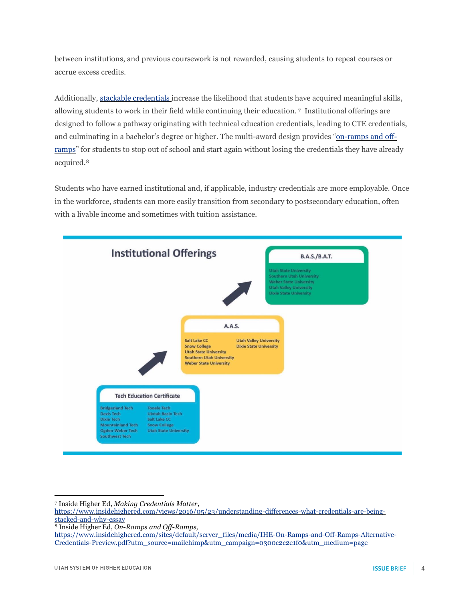between institutions, and previous coursework is not rewarded, causing students to repeat courses or accrue excess credits.

Additionally[, stackable credentials](https://www.insidehighered.com/views/2016/05/23/understanding-differences-what-credentials-are-being-stacked-and-why-essay) increase the likelihood that students have acquired meaningful skills, allowing students to work in their field while continuing their education. <sup>7</sup> Institutional offerings are designed to follow a pathway originating with technical education credentials, leading to CTE credentials, and culminating in a bachelor's degree or higher. The multi-award design provides "[on-ramps and off](https://www.insidehighered.com/sites/default/server_files/media/IHE-On-Ramps-and-Off-Ramps-Alternative-Credentials-Preview.pdf?utm_source=mailchimp&utm_campaign=0300c2c2e1f0&utm_medium=page)[ramps](https://www.insidehighered.com/sites/default/server_files/media/IHE-On-Ramps-and-Off-Ramps-Alternative-Credentials-Preview.pdf?utm_source=mailchimp&utm_campaign=0300c2c2e1f0&utm_medium=page)" for students to stop out of school and start again without losing the credentials they have already acquired.<sup>8</sup>

Students who have earned institutional and, if applicable, industry credentials are more employable. Once in the workforce, students can more easily transition from secondary to postsecondary education, often with a livable income and sometimes with tuition assistance.



<sup>7</sup> Inside Higher Ed, *Making Credentials Matter,* 

[https://www.insidehighered.com/views/2016/05/23/understanding-differences-what-credentials-are-being](https://www.insidehighered.com/views/2016/05/23/understanding-differences-what-credentials-are-being-stacked-and-why-essay)[stacked-and-why-essay](https://www.insidehighered.com/views/2016/05/23/understanding-differences-what-credentials-are-being-stacked-and-why-essay)

<sup>8</sup> Inside Higher Ed, *On-Ramps and Off-Ramps,* 

[https://www.insidehighered.com/sites/default/server\\_files/media/IHE-On-Ramps-and-Off-Ramps-Alternative-](https://www.insidehighered.com/sites/default/server_files/media/IHE-On-Ramps-and-Off-Ramps-Alternative-Credentials-Preview.pdf?utm_source=mailchimp&utm_campaign=0300c2c2e1f0&utm_medium=page)[Credentials-Preview.pdf?utm\\_source=mailchimp&utm\\_campaign=0300c2c2e1f0&utm\\_medium=page](https://www.insidehighered.com/sites/default/server_files/media/IHE-On-Ramps-and-Off-Ramps-Alternative-Credentials-Preview.pdf?utm_source=mailchimp&utm_campaign=0300c2c2e1f0&utm_medium=page)